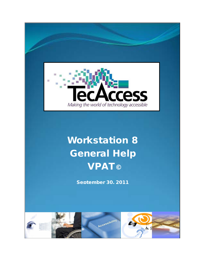

# Workstation 8 General Help VPAT©

September 30, 2011

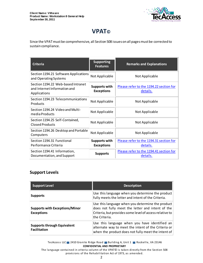

# **VPAT©**

Since the VPAT must be comprehensive, all Section 508 issues on all pages must be corrected to sustain compliance.

| <b>Criteria</b>                                                                    | <b>Supporting</b><br><b>Features</b>      | <b>Remarks and Explanations</b>                     |
|------------------------------------------------------------------------------------|-------------------------------------------|-----------------------------------------------------|
| Section 1194.21 Software Applications<br>and Operating Systems                     | Not Applicable                            | Not Applicable                                      |
| Section 1194.22 Web-based Intranet<br>and Internet Information and<br>Applications | Supports with<br><b>Exceptions</b>        | Please refer to the 1194.22 section for<br>details. |
| Section 1194.23 Telecommunications<br>Products                                     | Not Applicable                            | Not Applicable                                      |
| Section 1194.24 Video and Multi-<br>media Products                                 | Not Applicable                            | Not Applicable                                      |
| Section 1194.25 Self-Contained,<br>Closed Products                                 | Not Applicable                            | Not Applicable                                      |
| Section 1194.26 Desktop and Portable<br>Computers                                  | Not Applicable                            | Not Applicable                                      |
| Section 1194.31 Functional<br>Performance Criteria                                 | <b>Supports with</b><br><b>Exceptions</b> | Please refer to the 1194.31 section for<br>details. |
| Section 1194.41 Information,<br>Documentation, and Support                         | <b>Supports</b>                           | Please refer to the 1194.41 section for<br>details. |

#### **Support Levels**

| <b>Support Level</b>                                       | <b>Description</b>                                                                                                                                                               |
|------------------------------------------------------------|----------------------------------------------------------------------------------------------------------------------------------------------------------------------------------|
| <b>Supports</b>                                            | Use this language when you determine the product<br>fully meets the letter and intent of the Criteria.                                                                           |
| <b>Supports with Exceptions/Minor</b><br><b>Exceptions</b> | Use this language when you determine the product<br>does not fully meet the letter and intent of the<br>Criteria, but provides some level of access relative to<br>the Criteria. |
| <b>Supports through Equivalent</b><br><b>Facilitation</b>  | Use this language when you have identified an<br>alternate way to meet the intent of the Criteria or<br>when the product does not fully meet the intent of                       |

TecAccess LLC 2410 Granite Ridge Road Building A, Unit 1 Rockville, VA 23146 **CONFIDENTIAL AND PROPRIETARY**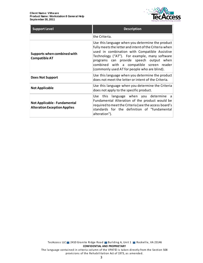

| <b>Support Level</b>                                                | <b>Description</b>                                                                                                                                                                                                                                                                                                                                  |  |
|---------------------------------------------------------------------|-----------------------------------------------------------------------------------------------------------------------------------------------------------------------------------------------------------------------------------------------------------------------------------------------------------------------------------------------------|--|
|                                                                     | the Criteria.                                                                                                                                                                                                                                                                                                                                       |  |
| Supports when combined with<br><b>Compatible AT</b>                 | Use this language when you determine the product<br>fully meets the letter and intent of the Criteria when<br>used in combination with Compatible Assistive<br>Technology ("AT"). For example, many software<br>programs can provide speech output when<br>combined with a compatible screen reader<br>(commonly used AT for people who are blind). |  |
| Does Not Support                                                    | Use this language when you determine the product<br>does not meet the letter or intent of the Criteria.                                                                                                                                                                                                                                             |  |
| <b>Not Applicable</b>                                               | Use this language when you determine the Criteria<br>does not apply to the specific product.                                                                                                                                                                                                                                                        |  |
| Not Applicable - Fundamental<br><b>Alteration Exception Applies</b> | Use this language when you determine a<br>Fundamental Alteration of the product would be<br>required to meet the Criteria (see the access board's<br>standards for the definition of "fundamental<br>alteration").                                                                                                                                  |  |

TecAccess LLC 2410 Granite Ridge Road Building A, Unit 1 Rockville, VA 23146 **CONFIDENTIAL AND PROPRIETARY** The language contained in criteria column of the VPAT© is taken directly from the Section 508 provisions of the Rehabilitation Act of 1973, as amended.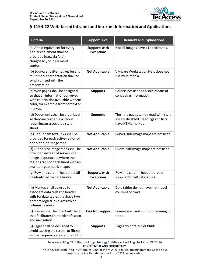

# <span id="page-3-0"></span>**§ 1194.22 Web-based Intranet and Internet Information and Applications**

| <b>Criteria</b>                                                                                                                                                          | <b>Support Level</b>                      | <b>Remarks and Explanations</b>                                                                   |
|--------------------------------------------------------------------------------------------------------------------------------------------------------------------------|-------------------------------------------|---------------------------------------------------------------------------------------------------|
| (a) A text equivalent for every<br>non-text element shall be<br>provided (e.g., via "alt",<br>"longdesc", or in element<br>content).                                     | <b>Supports with</b><br><b>Exceptions</b> | Not all images have alt attributes.                                                               |
| (b) Equivalent alternatives for any<br>multimedia presentation shall be<br>synchronized with the<br>presentation.                                                        | <b>Not Applicable</b>                     | VMware Workstation Help does not<br>use multimedia.                                               |
| (c) Web pages shall be designed<br>so that all information conveyed<br>with color is also available without<br>color, for example from context or<br>markup.             | <b>Supports</b>                           | Color is not used as a sole means of<br>conveying information.                                    |
| (d) Documents shall be organized<br>so they are readable without<br>requiring an associated style<br>sheet.                                                              | <b>Supports</b>                           | The help pages can be read with style<br>sheets disabled. Headings and lists<br>have HTML markup. |
| (e) Redundant text links shall be<br>provided for each active region of<br>a server-side image map.                                                                      | <b>Not Applicable</b>                     | Server-side image maps are not used.                                                              |
| (f) Client-side image maps shall be<br>provided instead of server-side<br>image maps except where the<br>regions cannot be defined with an<br>available geometric shape. | <b>Not Applicable</b>                     | Client-side image maps are not used.                                                              |
| (g) Row and column headers shall<br>be identified for data tables.                                                                                                       | <b>Supports with</b><br><b>Exceptions</b> | Row and column headers are not<br>supplied for all data tables.                                   |
| (h) Markup shall be used to<br>associate data cells and header<br>cells for data tables that have two<br>or more logical levels of row or<br>column headers.             | <b>Not Applicable</b>                     | Data tables do not have multilevel<br>columns or rows.                                            |
| (i) Frames shall be titled with text<br>that facilitates frame identification<br>and navigation                                                                          | <b>Does Not Support</b>                   | Frames are used without meaningful<br>titles.                                                     |
| (j) Pages shall be designed to<br>avoid causing the screen to flicker<br>with a frequency greater than 2 Hz                                                              | <b>Supports</b>                           | Pages do not flash or blink.                                                                      |

TecAccess LLC 2410 Granite Ridge Road Building A, Unit 1 Rockville, VA 23146 **CONFIDENTIAL AND PROPRIETARY**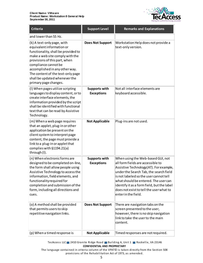

| <b>Criteria</b>                                                                                                                                                                                                                                                                                                             | <b>Support Level</b>                      | <b>Remarks and Explanations</b>                                                                                                                                                                                                                                                                                                                               |
|-----------------------------------------------------------------------------------------------------------------------------------------------------------------------------------------------------------------------------------------------------------------------------------------------------------------------------|-------------------------------------------|---------------------------------------------------------------------------------------------------------------------------------------------------------------------------------------------------------------------------------------------------------------------------------------------------------------------------------------------------------------|
| and lower than 55 Hz.                                                                                                                                                                                                                                                                                                       |                                           |                                                                                                                                                                                                                                                                                                                                                               |
| (k) A text-only page, with<br>equivalent information or<br>functionality, shall be provided to<br>make a web site comply with the<br>provisions of this part, when<br>compliance cannot be<br>accomplished in any other way.<br>The content of the text-only page<br>shall be updated whenever the<br>primary page changes. | <b>Does Not Support</b>                   | Workstation Help does not provide a<br>text-only version.                                                                                                                                                                                                                                                                                                     |
| (I) When pages utilize scripting<br>languages to display content, or to<br>create interface elements, the<br>information provided by the script<br>shall be identified with functional<br>text that can be read by Assistive<br>Technology.                                                                                 | <b>Supports with</b><br><b>Exceptions</b> | Not all interface elements are<br>keyboard accessible.                                                                                                                                                                                                                                                                                                        |
| (m) When a web page requires<br>that an applet, plug-in or other<br>application be present on the<br>client system to interpret page<br>content, the page must provide a<br>link to a plug-in or applet that<br>complies with §1194.21(a)<br>through (I).                                                                   | <b>Not Applicable</b>                     | Plug-ins are not used.                                                                                                                                                                                                                                                                                                                                        |
| (n) When electronic forms are<br>designed to be completed on-line,<br>the form shall allow people using<br>Assistive Technology to access the<br>information, field elements, and<br>functionality required for<br>completion and submission of the<br>form, including all directions and<br>cues.                          | <b>Supports with</b><br><b>Exceptions</b> | When using the Web-based GUI, not<br>all form fields are accessible to<br>Assistive Technology (AT). For example,<br>under the Search Tab, the search field<br>is not labeled so the user cannot tell<br>what should be entered. The user can<br>identify it as a form field, but the label<br>does not exist to tell the user what to<br>enter in the field. |
| (o) A method shall be provided<br>that permits users to skip<br>repetitive navigation links.                                                                                                                                                                                                                                | <b>Does Not Support</b>                   | There are navigation tabs on the<br>screen presented to the user,<br>however, there is no skip navigation<br>link to take the user to the main<br>content.                                                                                                                                                                                                    |
| (p) When a timed response is                                                                                                                                                                                                                                                                                                | <b>Not Applicable</b>                     | Timed responses are not required.                                                                                                                                                                                                                                                                                                                             |

TecAccess LLC 2410 Granite Ridge Road Building A, Unit 1 Rockville, VA 23146 **CONFIDENTIAL AND PROPRIETARY**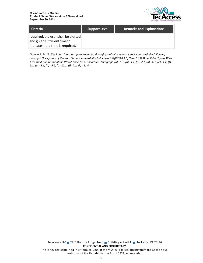

| <b>Criteria</b>                                                                                                    | <b>Support Level</b> | <b>Remarks and Explanations</b> |
|--------------------------------------------------------------------------------------------------------------------|----------------------|---------------------------------|
| required, the user shall be alerted $\parallel$<br>and given sufficient time to<br>indicate more time is required. |                      |                                 |

*Note to 1194.22: The Board interprets paragraphs (a) through (k) of this section as consistent with the following priority 1 Checkpoints of the Web Content Accessibility Guidelines 1.0 (WCAG 1.0) (May 5 1999) published by the Web Accessibility Initiative of the World Wide Web Consortium: Paragraph (a) - 1.1, (b) - 1.4, (c) - 2.1, (d) - 6.1, (e) - 1.2, (f) - 9.1, (g) - 5.1, (h) - 5.2, (i) - 12.1, (j) - 7.1, (k) - 11.4.*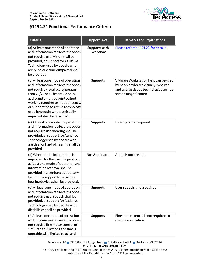

## **§1194.31 Functional Performance Criteria**

| <b>Criteria</b>                                                                                                                                                                                                                                                                                                                     | <b>Support Level</b>                      | <b>Remarks and Explanations</b>                                                                                                                |
|-------------------------------------------------------------------------------------------------------------------------------------------------------------------------------------------------------------------------------------------------------------------------------------------------------------------------------------|-------------------------------------------|------------------------------------------------------------------------------------------------------------------------------------------------|
| (a) At least one mode of operation<br>and information retrieval that does<br>not require user vision shall be<br>provided, or support for Assistive<br>Technology used by people who<br>are blind or visually impaired shall<br>be provided.                                                                                        | <b>Supports with</b><br><b>Exceptions</b> | Please refer to 1194.22 for details.                                                                                                           |
| (b) At least one mode of operation<br>and information retrieval that does<br>not require visual acuity greater<br>than 20/70 shall be provided in<br>audio and enlarged print output<br>working together or independently,<br>or support for Assistive Technology<br>used by people who are visually<br>impaired shall be provided. | <b>Supports</b>                           | VMware Workstation Help can be used<br>by people who are visually impaired<br>and with assistive technologies such as<br>screen magnification. |
| (c) At least one mode of operation<br>and information retrieval that does<br>not require user hearing shall be<br>provided, or support for Assistive<br>Technology used by people who<br>are deaf or hard of hearing shall be<br>provided                                                                                           | <b>Supports</b>                           | Hearing is not required.                                                                                                                       |
| (d) Where audio information is<br>important for the use of a product,<br>at least one mode of operation and<br>information retrieval shall be<br>provided in an enhanced auditory<br>fashion, or support for assistive<br>hearing devices shall be provided.                                                                        | <b>Not Applicable</b>                     | Audio is not present.                                                                                                                          |
| (e) At least one mode of operation<br>and information retrieval that does<br>not require user speech shall be<br>provided, or support for Assistive<br>Technology used by people with<br>disabilities shall be provided.                                                                                                            | <b>Supports</b>                           | User speech is not required.                                                                                                                   |
| (f) At least one mode of operation<br>and information retrieval that does<br>not require fine motor control or<br>simultaneous actions and that is<br>operable with limited reach and                                                                                                                                               | <b>Supports</b>                           | Fine motor control is not required to<br>use the application.                                                                                  |

TecAccess LLC 2410 Granite Ridge Road Building A, Unit 1 Rockville, VA 23146 **CONFIDENTIAL AND PROPRIETARY**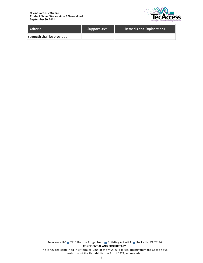

| Criteria                    | <b>Support Level</b> | <b>Remarks and Explanations</b> |
|-----------------------------|----------------------|---------------------------------|
| strength shall be provided. |                      |                                 |

TecAccess LLC 2410 Granite Ridge Road Building A, Unit 1 Rockville, VA 23146 **CONFIDENTIAL AND PROPRIETARY** The language contained in criteria column of the VPAT© is taken directly from the Section 508 provisions of the Rehabilitation Act of 1973, as amended.